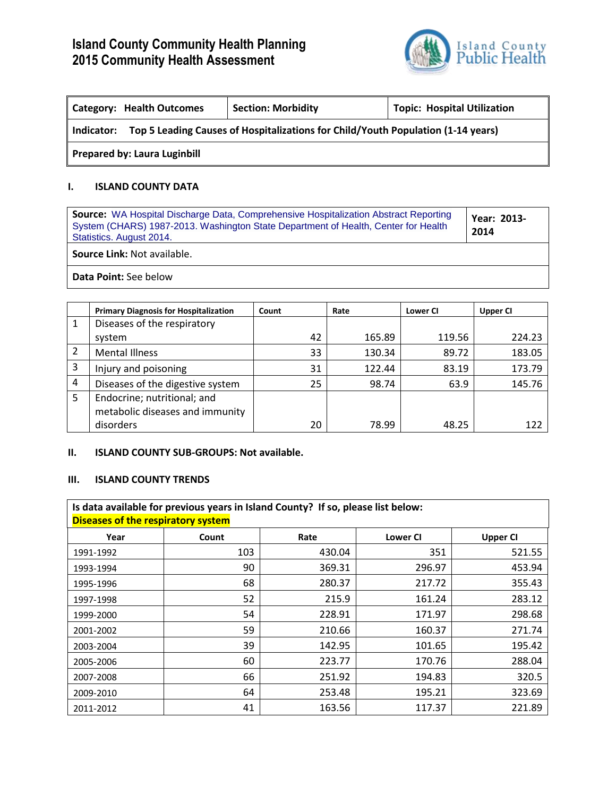

| Topic: Hospital Utilization<br><b>Section: Morbidity</b><br><b>Category: Health Outcomes</b> |  |  |  |  |  |
|----------------------------------------------------------------------------------------------|--|--|--|--|--|
| Indicator: Top 5 Leading Causes of Hospitalizations for Child/Youth Population (1-14 years)  |  |  |  |  |  |
| <b>Prepared by: Laura Luginbill</b>                                                          |  |  |  |  |  |

#### **I. ISLAND COUNTY DATA**

| <b>Source:</b> WA Hospital Discharge Data, Comprehensive Hospitalization Abstract Reporting<br>System (CHARS) 1987-2013. Washington State Department of Health, Center for Health<br>Statistics. August 2014. | Year: 2013-<br>2014 |
|---------------------------------------------------------------------------------------------------------------------------------------------------------------------------------------------------------------|---------------------|
| <b>Source Link: Not available.</b>                                                                                                                                                                            |                     |
| <b>Data Point: See below</b>                                                                                                                                                                                  |                     |

|   | <b>Primary Diagnosis for Hospitalization</b> | Count | Rate   | Lower CI | <b>Upper CI</b> |
|---|----------------------------------------------|-------|--------|----------|-----------------|
| 1 | Diseases of the respiratory                  |       |        |          |                 |
|   | system                                       | 42    | 165.89 | 119.56   | 224.23          |
| 2 | <b>Mental Illness</b>                        | 33    | 130.34 | 89.72    | 183.05          |
| 3 | Injury and poisoning                         | 31    | 122.44 | 83.19    | 173.79          |
| 4 | Diseases of the digestive system             | 25    | 98.74  | 63.9     | 145.76          |
| 5 | Endocrine; nutritional; and                  |       |        |          |                 |
|   | metabolic diseases and immunity              |       |        |          |                 |
|   | disorders                                    | 20    | 78.99  | 48.25    | 122             |

### **II. ISLAND COUNTY SUB-GROUPS: Not available.**

### **III. ISLAND COUNTY TRENDS**

|           | Is data available for previous years in Island County? If so, please list below:<br><b>Diseases of the respiratory system</b> |        |                 |                 |  |  |  |
|-----------|-------------------------------------------------------------------------------------------------------------------------------|--------|-----------------|-----------------|--|--|--|
| Year      | Count                                                                                                                         | Rate   | <b>Lower CI</b> | <b>Upper CI</b> |  |  |  |
| 1991-1992 | 103                                                                                                                           | 430.04 | 351             | 521.55          |  |  |  |
| 1993-1994 | 90                                                                                                                            | 369.31 | 296.97          | 453.94          |  |  |  |
| 1995-1996 | 68                                                                                                                            | 280.37 | 217.72          | 355.43          |  |  |  |
| 1997-1998 | 52                                                                                                                            | 215.9  | 161.24          | 283.12          |  |  |  |
| 1999-2000 | 54                                                                                                                            | 228.91 | 171.97          | 298.68          |  |  |  |
| 2001-2002 | 59                                                                                                                            | 210.66 | 160.37          | 271.74          |  |  |  |
| 2003-2004 | 39                                                                                                                            | 142.95 | 101.65          | 195.42          |  |  |  |
| 2005-2006 | 60                                                                                                                            | 223.77 | 170.76          | 288.04          |  |  |  |
| 2007-2008 | 66                                                                                                                            | 251.92 | 194.83          | 320.5           |  |  |  |
| 2009-2010 | 64                                                                                                                            | 253.48 | 195.21          | 323.69          |  |  |  |
| 2011-2012 | 41                                                                                                                            | 163.56 | 117.37          | 221.89          |  |  |  |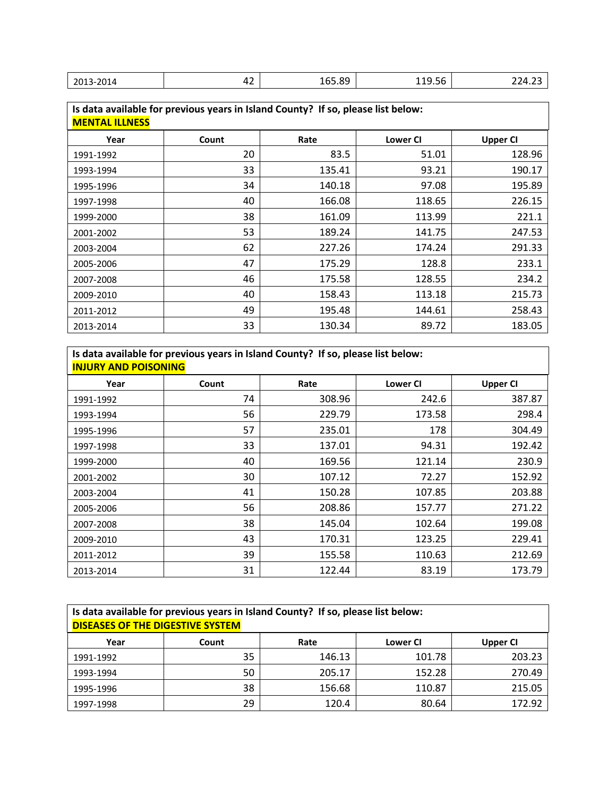| Ջଘ<br>165.89<br>2013-2014<br>י כ<br>119.50<br>т с.,<br>т. -<br>__<br>___<br>____<br>______ |
|--------------------------------------------------------------------------------------------|
|--------------------------------------------------------------------------------------------|

| <b>MENTAL ILLNESS</b> | Is data available for previous years in Island County? If so, please list below: |        |                 |                 |  |  |  |  |
|-----------------------|----------------------------------------------------------------------------------|--------|-----------------|-----------------|--|--|--|--|
| Year                  | Count                                                                            | Rate   | <b>Lower CI</b> | <b>Upper CI</b> |  |  |  |  |
| 1991-1992             | 20                                                                               | 83.5   | 51.01           | 128.96          |  |  |  |  |
| 1993-1994             | 33                                                                               | 135.41 | 93.21           | 190.17          |  |  |  |  |
| 1995-1996             | 34                                                                               | 140.18 | 97.08           | 195.89          |  |  |  |  |
| 1997-1998             | 40                                                                               | 166.08 | 118.65          | 226.15          |  |  |  |  |
| 1999-2000             | 38                                                                               | 161.09 | 113.99          | 221.1           |  |  |  |  |
| 2001-2002             | 53                                                                               | 189.24 | 141.75          | 247.53          |  |  |  |  |
| 2003-2004             | 62                                                                               | 227.26 | 174.24          | 291.33          |  |  |  |  |
| 2005-2006             | 47                                                                               | 175.29 | 128.8           | 233.1           |  |  |  |  |
| 2007-2008             | 46                                                                               | 175.58 | 128.55          | 234.2           |  |  |  |  |
| 2009-2010             | 40                                                                               | 158.43 | 113.18          | 215.73          |  |  |  |  |
| 2011-2012             | 49                                                                               | 195.48 | 144.61          | 258.43          |  |  |  |  |
| 2013-2014             | 33                                                                               | 130.34 | 89.72           | 183.05          |  |  |  |  |

**Is data available for previous years in Island County? If so, please list below: INJURY AND POISONING**

| Year      | Count | Rate   | <b>Lower CI</b> | <b>Upper CI</b> |
|-----------|-------|--------|-----------------|-----------------|
| 1991-1992 | 74    | 308.96 | 242.6           | 387.87          |
| 1993-1994 | 56    | 229.79 | 173.58          | 298.4           |
| 1995-1996 | 57    | 235.01 | 178             | 304.49          |
| 1997-1998 | 33    | 137.01 | 94.31           | 192.42          |
| 1999-2000 | 40    | 169.56 | 121.14          | 230.9           |
| 2001-2002 | 30    | 107.12 | 72.27           | 152.92          |
| 2003-2004 | 41    | 150.28 | 107.85          | 203.88          |
| 2005-2006 | 56    | 208.86 | 157.77          | 271.22          |
| 2007-2008 | 38    | 145.04 | 102.64          | 199.08          |
| 2009-2010 | 43    | 170.31 | 123.25          | 229.41          |
| 2011-2012 | 39    | 155.58 | 110.63          | 212.69          |
| 2013-2014 | 31    | 122.44 | 83.19           | 173.79          |

| Is data available for previous years in Island County? If so, please list below:<br><b>DISEASES OF THE DIGESTIVE SYSTEM</b> |       |        |                 |                 |  |  |  |
|-----------------------------------------------------------------------------------------------------------------------------|-------|--------|-----------------|-----------------|--|--|--|
| Year                                                                                                                        | Count | Rate   | <b>Lower CI</b> | <b>Upper CI</b> |  |  |  |
| 1991-1992                                                                                                                   | 35    | 146.13 | 101.78          | 203.23          |  |  |  |
| 1993-1994                                                                                                                   | 50    | 205.17 | 152.28          | 270.49          |  |  |  |
| 1995-1996                                                                                                                   | 38    | 156.68 | 110.87          | 215.05          |  |  |  |
| 1997-1998                                                                                                                   | 29    | 120.4  | 80.64           | 172.92          |  |  |  |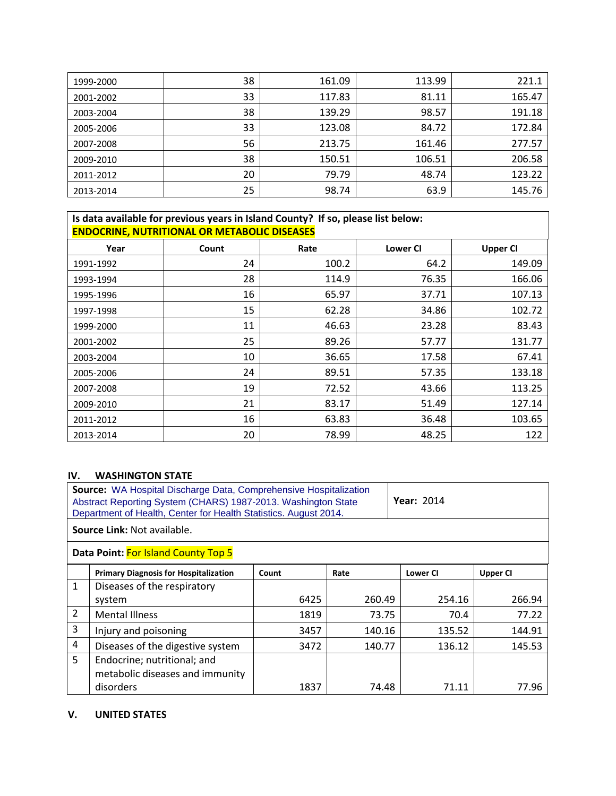| 1999-2000 | 38 | 161.09 | 113.99 | 221.1  |
|-----------|----|--------|--------|--------|
| 2001-2002 | 33 | 117.83 | 81.11  | 165.47 |
| 2003-2004 | 38 | 139.29 | 98.57  | 191.18 |
| 2005-2006 | 33 | 123.08 | 84.72  | 172.84 |
| 2007-2008 | 56 | 213.75 | 161.46 | 277.57 |
| 2009-2010 | 38 | 150.51 | 106.51 | 206.58 |
| 2011-2012 | 20 | 79.79  | 48.74  | 123.22 |
| 2013-2014 | 25 | 98.74  | 63.9   | 145.76 |

# **Is data available for previous years in Island County? If so, please list below: ENDOCRINE, NUTRITIONAL OR METABOLIC DISEASES**

| Year      | Count | Rate  | <b>Lower CI</b> | <b>Upper CI</b> |
|-----------|-------|-------|-----------------|-----------------|
| 1991-1992 | 24    | 100.2 | 64.2            | 149.09          |
| 1993-1994 | 28    | 114.9 | 76.35           | 166.06          |
| 1995-1996 | 16    | 65.97 | 37.71           | 107.13          |
| 1997-1998 | 15    | 62.28 | 34.86           | 102.72          |
| 1999-2000 | 11    | 46.63 | 23.28           | 83.43           |
| 2001-2002 | 25    | 89.26 | 57.77           | 131.77          |
| 2003-2004 | 10    | 36.65 | 17.58           | 67.41           |
| 2005-2006 | 24    | 89.51 | 57.35           | 133.18          |
| 2007-2008 | 19    | 72.52 | 43.66           | 113.25          |
| 2009-2010 | 21    | 83.17 | 51.49           | 127.14          |
| 2011-2012 | 16    | 63.83 | 36.48           | 103.65          |
| 2013-2014 | 20    | 78.99 | 48.25           | 122             |

## **IV. WASHINGTON STATE**

|    | <b>Source:</b> WA Hospital Discharge Data, Comprehensive Hospitalization<br><b>Year: 2014</b><br>Abstract Reporting System (CHARS) 1987-2013. Washington State<br>Department of Health, Center for Health Statistics. August 2014. |       |        |                 |                 |  |  |
|----|------------------------------------------------------------------------------------------------------------------------------------------------------------------------------------------------------------------------------------|-------|--------|-----------------|-----------------|--|--|
|    | <b>Source Link: Not available.</b>                                                                                                                                                                                                 |       |        |                 |                 |  |  |
|    | Data Point: For Island County Top 5                                                                                                                                                                                                |       |        |                 |                 |  |  |
|    | <b>Primary Diagnosis for Hospitalization</b>                                                                                                                                                                                       | Count | Rate   | <b>Lower CI</b> | <b>Upper CI</b> |  |  |
| 1  | Diseases of the respiratory                                                                                                                                                                                                        |       |        |                 |                 |  |  |
|    | system                                                                                                                                                                                                                             | 6425  | 260.49 | 254.16          | 266.94          |  |  |
| 2  | <b>Mental Illness</b>                                                                                                                                                                                                              | 1819  | 73.75  | 70.4            | 77.22           |  |  |
| 3  | Injury and poisoning                                                                                                                                                                                                               | 3457  | 140.16 | 135.52          | 144.91          |  |  |
| 4  | Diseases of the digestive system                                                                                                                                                                                                   | 3472  | 140.77 | 136.12          | 145.53          |  |  |
| 5. | Endocrine; nutritional; and                                                                                                                                                                                                        |       |        |                 |                 |  |  |
|    | metabolic diseases and immunity                                                                                                                                                                                                    |       |        |                 |                 |  |  |
|    | disorders                                                                                                                                                                                                                          | 1837  | 74.48  | 71.11           | 77.96           |  |  |

### **V. UNITED STATES**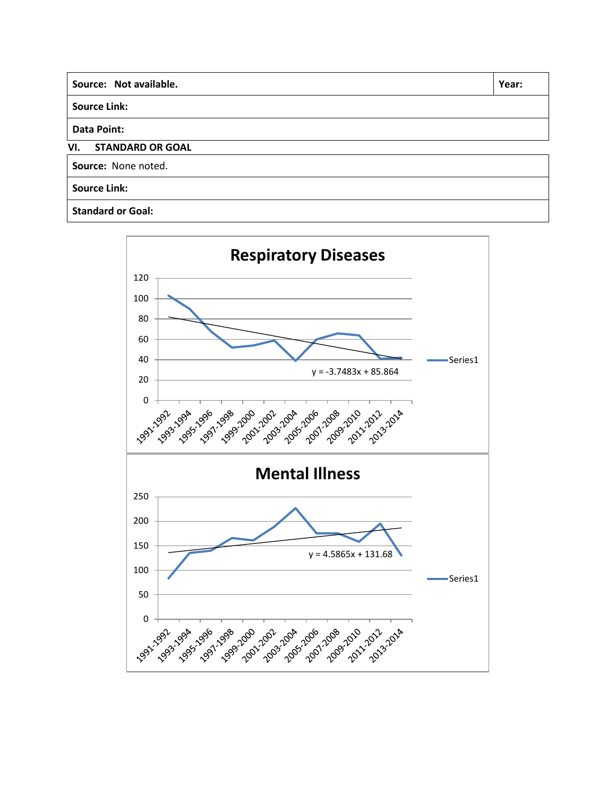| Source: Not available.         | Year: |
|--------------------------------|-------|
| <b>Source Link:</b>            |       |
| <b>Data Point:</b>             |       |
| VI.<br><b>STANDARD OR GOAL</b> |       |
| Source: None noted.            |       |
| <b>Source Link:</b>            |       |
| <b>Standard or Goal:</b>       |       |

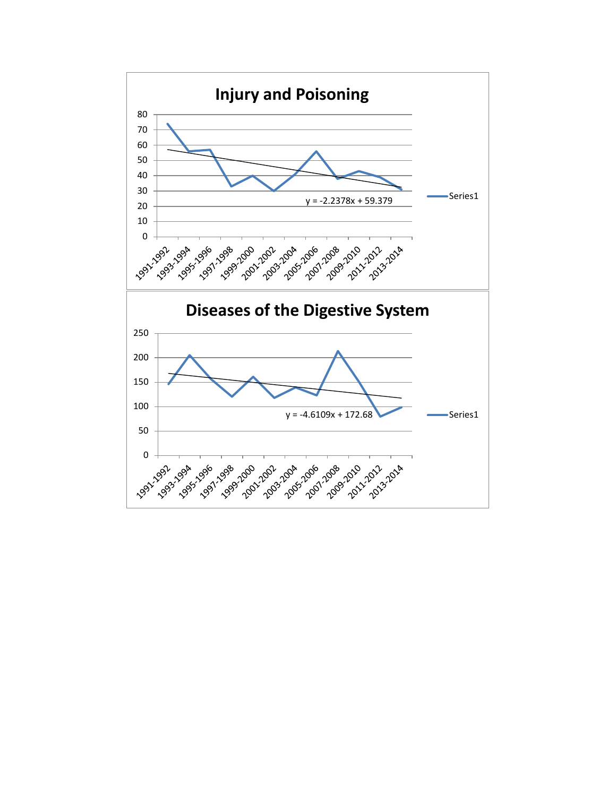